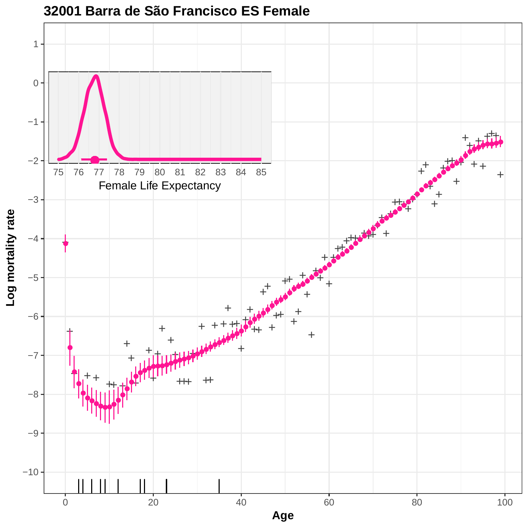

**32001 Barra de São Francisco ES Female**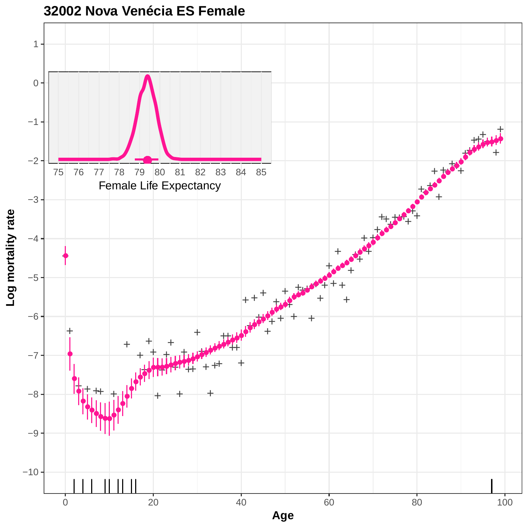

**32002 Nova Venécia ES Female**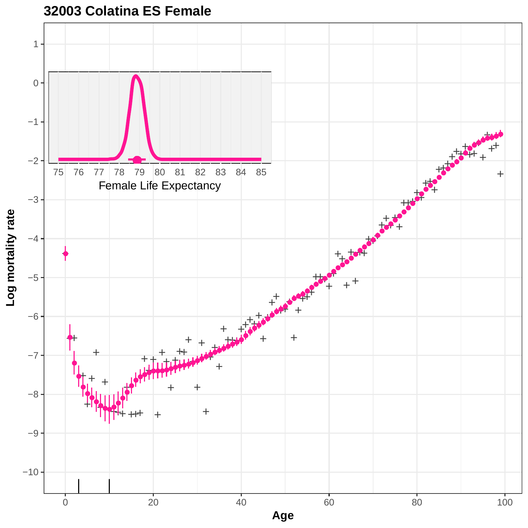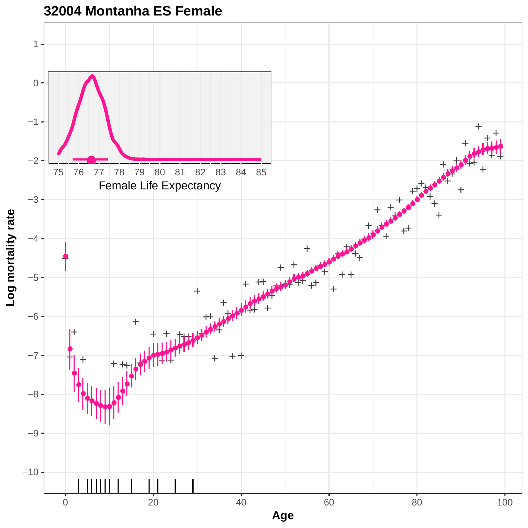

**32004 Montanha ES Female**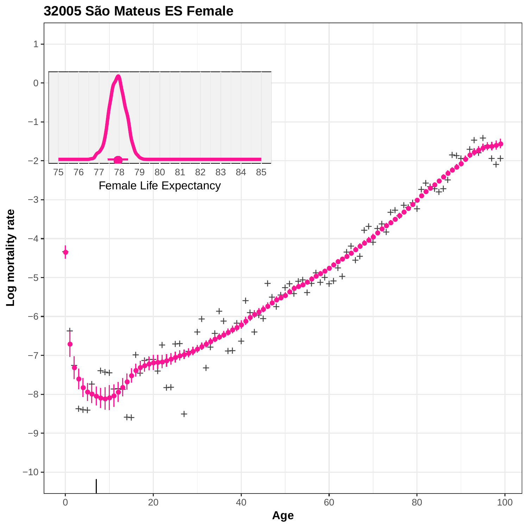

**32005 São Mateus ES Female**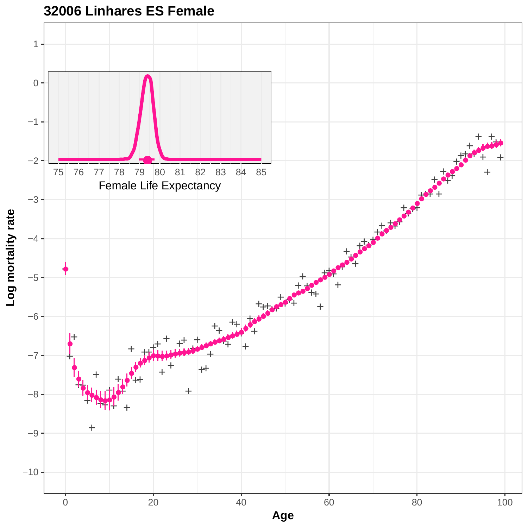

**32006 Linhares ES Female**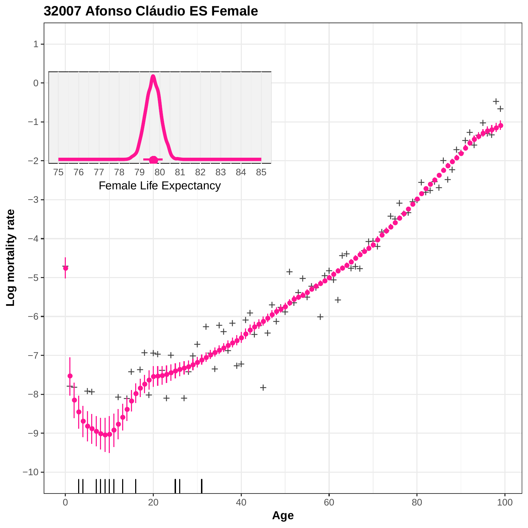

**32007 Afonso Cláudio ES Female**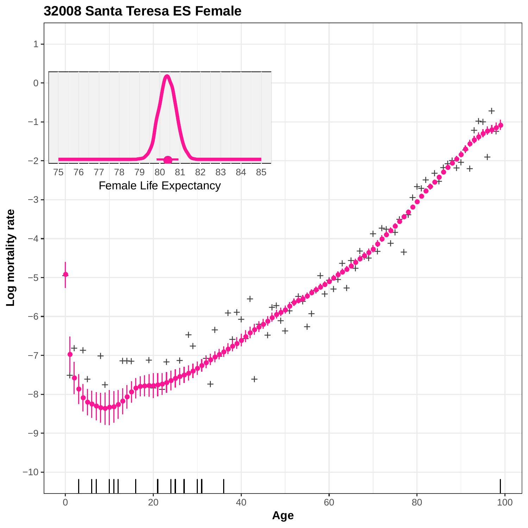

## **32008 Santa Teresa ES Female**

**Age**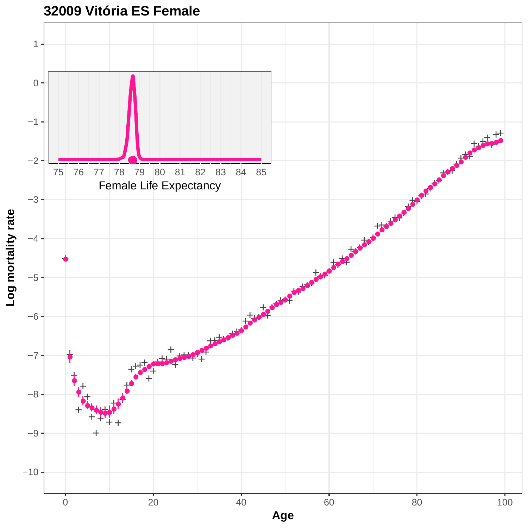

**32009 Vitória ES Female**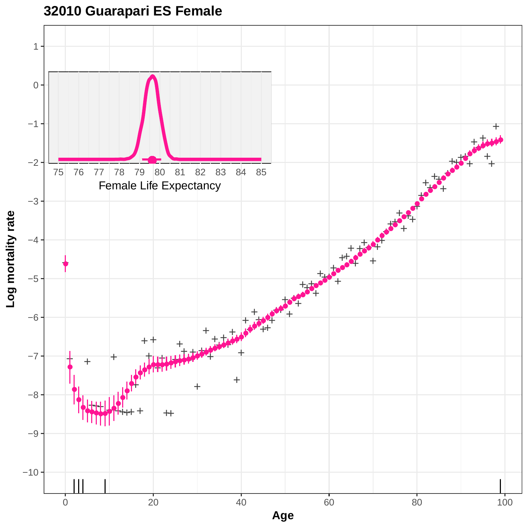**32010 Guarapari ES Female**

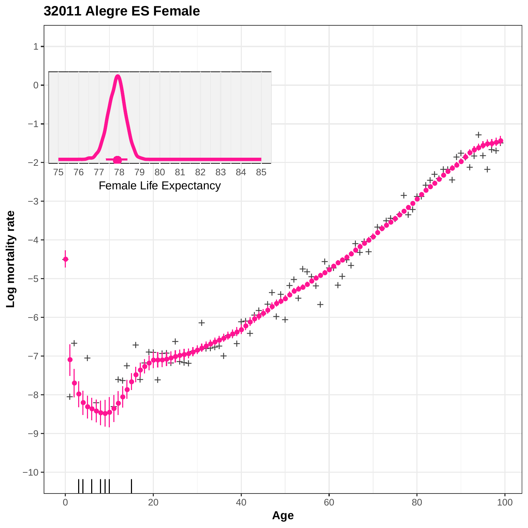

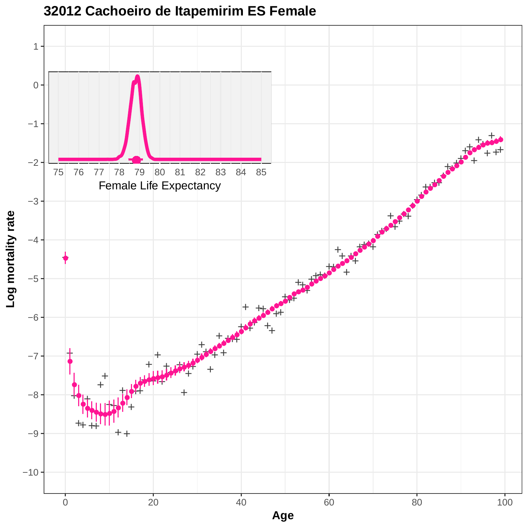

**32012 Cachoeiro de Itapemirim ES Female**

**Age**